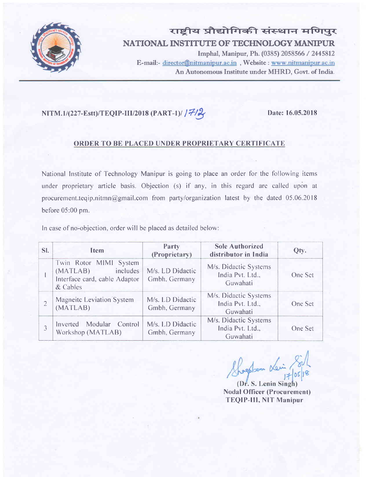

राष्ट्रीय प्रौद्योगिकी संस्थान मणिपुर NATIONAL INSTITUTE OF TECHNOLOGY MANIPUR Imphal, Manipur, Ph. (0385) 2058566 / 2445812

E-mail:- director@nitmanipur.ac.in, Website: www.nitmanipur.ac.in An Autonomous Institute under MHRD, Govt. of India.

# $NITM.1/(227-Estt)/TEQIP-III/2018 (PART-1)/77/2)$  Date: 16.05.2018

## ORDER TO BE PLACED UNDER PROPRIETARY CERTIFICATE

National lnstitute of Technology Manipur is going to place an order for the following items under proprietary article basis. Objection (s) if any, in this regard are called upon at procurement.teqip.nitmn@gmail.com from party/organization latest by the dated  $05.06.2018$ before 05:00 pm.

In case of no-objection, order will be placed as detailed below:

| SI. | <b>Item</b>                                                                                 | Party<br>(Proprietary)            | <b>Sole Authorized</b><br>distributor in India        | Qty.    |
|-----|---------------------------------------------------------------------------------------------|-----------------------------------|-------------------------------------------------------|---------|
|     | Twin Rotor MIMI System<br>(MATLAB)<br>includes<br>Interface card, cable Adaptor<br>& Cables | M/s. LD Didactic<br>Gmbh, Germany | M/s. Didactic Systems<br>India Pvt. Ltd.,<br>Guwahati | One Set |
|     | <b>Magneitc Leviation System</b><br>(MATLAB)                                                | M/s. LD Didactic<br>Gmbh, Germany | M/s. Didactic Systems<br>India Pvt. Ltd.,<br>Guwahati | One Set |
|     | Modular<br>Control<br>Inverted<br>Workshop (MATLAB)                                         | M/s. LD Didactic<br>Gmbh, Germany | M/s. Didactic Systems<br>India Pvt. Ltd.,<br>Guwahati | One Set |

Shoepter Les

(Dr. S. Lenin Singh) Nodal Officer (Procurement) TEQIP-lII, NIT Manipur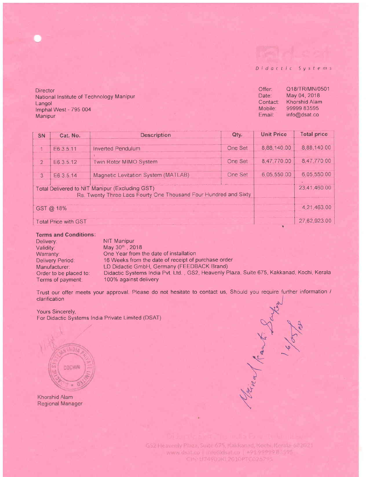Didactic Systems

**Director** National Institute of Technology Manipur Langol lmphal West - 795 004 Manipur

Offer: Q18/TR/MN/0501<br>Date: May 04, 2018 Date: May 04, 2018<br>Contact: Khorshid Alam Contact: Khorshid Alam<br>Mobile: 99999 83595 99999 83595 Email: info@dsat.co

| SN                                                                                                                 | Cat. No.  | <b>Description</b>                  | Qty.           | <b>Unit Price</b> | <b>Total price</b> |  |
|--------------------------------------------------------------------------------------------------------------------|-----------|-------------------------------------|----------------|-------------------|--------------------|--|
| 1                                                                                                                  | E6.3.5.11 | <b>Inverted Pendulum</b>            | <b>One Set</b> | 8,88,140.00       | 8,88,140.00        |  |
| $\overline{2}$                                                                                                     | E6 3 5 12 | Twin Rotor MIMO System              | One Set        | 8,47,770.00       | 8,47,770.00        |  |
| 3                                                                                                                  | E6 3 5 14 | Magnetic Levitation System (MATLAB) | One Set        | 6,05,550.00       | 6.05.550.00        |  |
| Total Delivered to NIT Manipur (Excluding GST)<br>Rs. Twenty Three Lacs Fourty One Thousand Four Hundred and Sixty |           |                                     |                |                   |                    |  |
| GST @ 18%                                                                                                          |           |                                     |                |                   |                    |  |
| <b>Total Price with GST</b>                                                                                        |           |                                     |                |                   |                    |  |

#### Terms and Gonditions:

Delivery: NIT Manipur<br>
Validity: May 30<sup>th</sup>, 20 Validity: May 30<sup>th</sup>, 2018<br>Warranty: One Year from t Warranty: One Year from the date of installation<br>Delivery Period: 16 Weeks from the date of receipt of p 16 Weeks from the date of receipt of purchase order Manufacturer: LD Didactic GmbH, Germany (FEEDBACK Brand)<br>Order to be placed to: Didactic Systems India Pvt. Ltd., GS2, Heavenly P Order to be placed to: Didactic Systems India Pvt. Ltd., GS2, Heavenly Plaza, Suite 675, Kakkanad, Kochi, Kerala<br>Terms of payment: 100% against delivery 100% against delivery

Trust our offer meets your approval. Please do not hesitate to contact us, Should you require further information / clarification

Yours Sincerely, For Didactic Systems India Private Limited (DSAT)

COCHIN

Khorshid Alam Regional Manager

Henry Rank Days

GS2 Fleavenly Plaza, Suite 675, Kakkanad, Kochi, Kerala-682021 www.dsat.co | info@dsat.co | +91.9999983595